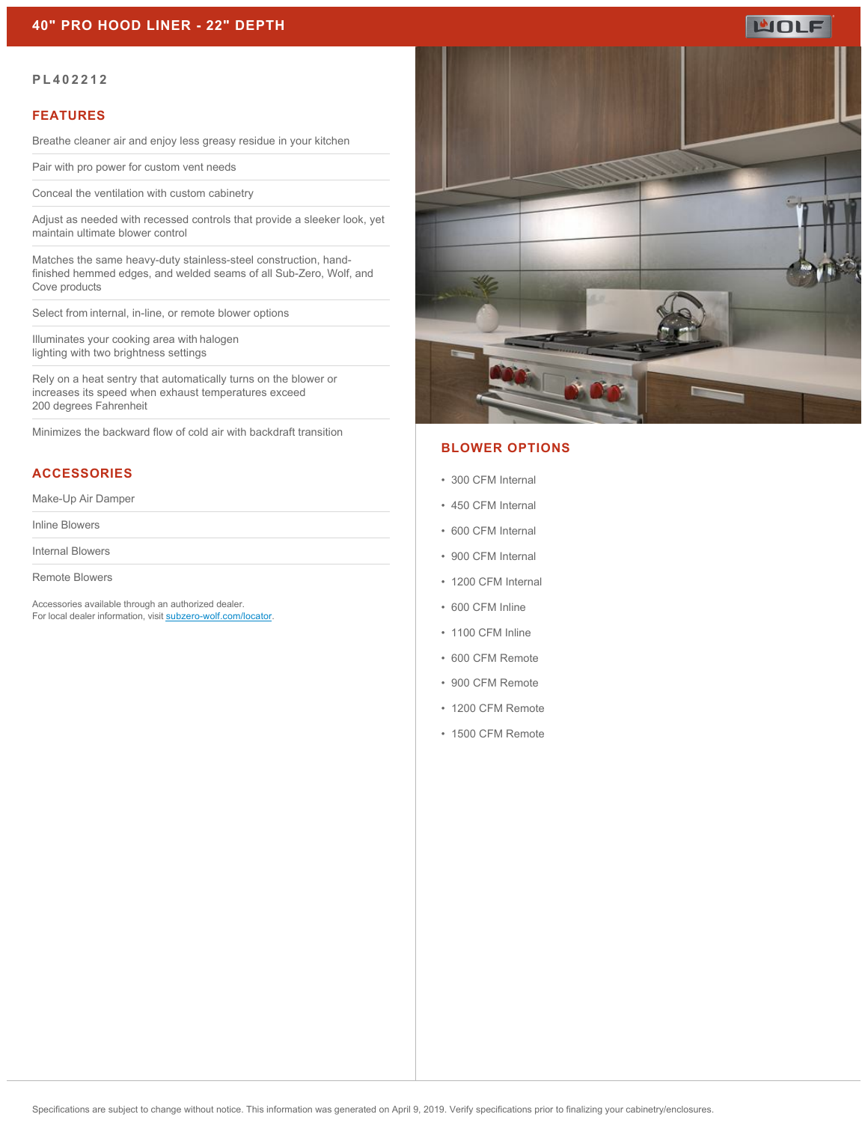

#### **PL402212**

### **FEATURES**

Breathe cleaner air and enjoy less greasy residue in your kitchen

Pair with pro power for custom vent needs

Conceal the ventilation with custom cabinetry

Adjust as needed with recessed controls that provide a sleeker look, yet maintain ultimate blower control

Matches the same heavy-duty stainless-steel construction, handfinished hemmed edges, and welded seams of all Sub-Zero, Wolf, and Cove products

Select from internal, in-line, or remote blower options 

Illuminates your cooking area with halogen lighting with two brightness settings

Rely on a heat sentry that automatically turns on the blower or increases its speed when exhaust temperatures exceed 200 degrees Fahrenheit

Minimizes the backward flow of cold air with backdraft transition

## **ACCESSORIES**

Make-Up Air Damper

Inline Blowers

Internal Blowers

Remote Blowers

Accessories available through an authorized dealer. For local dealer information, visit [subzero-wolf.com/locator.](http://www.subzero-wolf.com/locator)



### **BLOWER OPTIONS**

- 300 CFM Internal
- 450 CFM Internal
- 600 CFM Internal
- 900 CFM Internal
- 1200 CFM Internal
- 600 CFM Inline
- 1100 CFM Inline
- 600 CFM Remote
- 900 CFM Remote
- 1200 CFM Remote
- 1500 CFM Remote